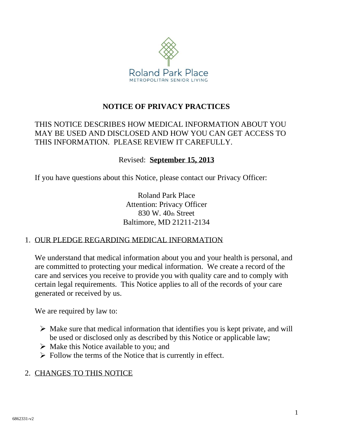

## **NOTICE OF PRIVACY PRACTICES**

## THIS NOTICE DESCRIBES HOW MEDICAL INFORMATION ABOUT YOU MAY BE USED AND DISCLOSED AND HOW YOU CAN GET ACCESS TO THIS INFORMATION. PLEASE REVIEW IT CAREFULLY.

#### Revised: **September 15, 2013**

If you have questions about this Notice, please contact our Privacy Officer:

Roland Park Place Attention: Privacy Officer 830 W. 40th Street Baltimore, MD 21211-2134

#### 1. OUR PLEDGE REGARDING MEDICAL INFORMATION

We understand that medical information about you and your health is personal, and are committed to protecting your medical information. We create a record of the care and services you receive to provide you with quality care and to comply with certain legal requirements. This Notice applies to all of the records of your care generated or received by us.

We are required by law to:

- $\triangleright$  Make sure that medical information that identifies you is kept private, and will be used or disclosed only as described by this Notice or applicable law;
- $\triangleright$  Make this Notice available to you; and
- $\triangleright$  Follow the terms of the Notice that is currently in effect.

## 2. CHANGES TO THIS NOTICE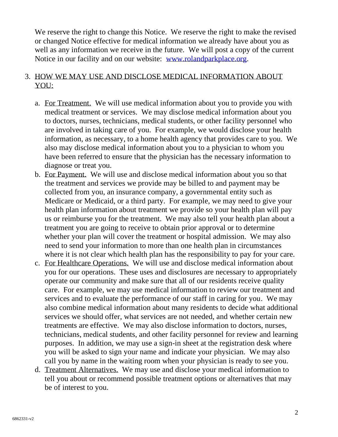We reserve the right to change this Notice. We reserve the right to make the revised or changed Notice effective for medical information we already have about you as well as any information we receive in the future. We will post a copy of the current Notice in our facility and on our website: [www.rolandparkplace.org.](http://www.rolandparkplace.org/)

#### 3. HOW WE MAY USE AND DISCLOSE MEDICAL INFORMATION ABOUT YOU:

- a. For Treatment. We will use medical information about you to provide you with medical treatment or services. We may disclose medical information about you to doctors, nurses, technicians, medical students, or other facility personnel who are involved in taking care of you. For example, we would disclose your health information, as necessary, to a home health agency that provides care to you. We also may disclose medical information about you to a physician to whom you have been referred to ensure that the physician has the necessary information to diagnose or treat you.
- b. For Payment. We will use and disclose medical information about you so that the treatment and services we provide may be billed to and payment may be collected from you, an insurance company, a governmental entity such as Medicare or Medicaid, or a third party. For example, we may need to give your health plan information about treatment we provide so your health plan will pay us or reimburse you for the treatment. We may also tell your health plan about a treatment you are going to receive to obtain prior approval or to determine whether your plan will cover the treatment or hospital admission. We may also need to send your information to more than one health plan in circumstances where it is not clear which health plan has the responsibility to pay for your care.
- c. For Healthcare Operations. We will use and disclose medical information about you for our operations. These uses and disclosures are necessary to appropriately operate our community and make sure that all of our residents receive quality care. For example, we may use medical information to review our treatment and services and to evaluate the performance of our staff in caring for you. We may also combine medical information about many residents to decide what additional services we should offer, what services are not needed, and whether certain new treatments are effective. We may also disclose information to doctors, nurses, technicians, medical students, and other facility personnel for review and learning purposes. In addition, we may use a sign-in sheet at the registration desk where you will be asked to sign your name and indicate your physician. We may also call you by name in the waiting room when your physician is ready to see you.
- d. Treatment Alternatives. We may use and disclose your medical information to tell you about or recommend possible treatment options or alternatives that may be of interest to you.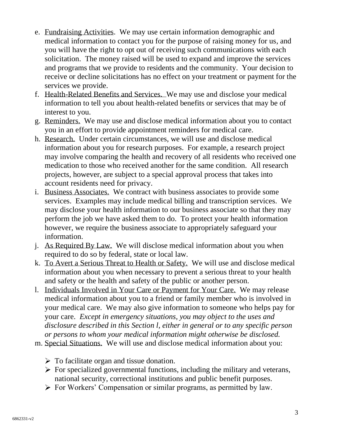- e. Fundraising Activities. We may use certain information demographic and medical information to contact you for the purpose of raising money for us, and you will have the right to opt out of receiving such communications with each solicitation. The money raised will be used to expand and improve the services and programs that we provide to residents and the community. Your decision to receive or decline solicitations has no effect on your treatment or payment for the services we provide.
- f. Health-Related Benefits and Services. We may use and disclose your medical information to tell you about health-related benefits or services that may be of interest to you.
- g. Reminders. We may use and disclose medical information about you to contact you in an effort to provide appointment reminders for medical care.
- h. Research. Under certain circumstances, we will use and disclose medical information about you for research purposes. For example, a research project may involve comparing the health and recovery of all residents who received one medication to those who received another for the same condition. All research projects, however, are subject to a special approval process that takes into account residents need for privacy.
- i. Business Associates. We contract with business associates to provide some services. Examples may include medical billing and transcription services. We may disclose your health information to our business associate so that they may perform the job we have asked them to do. To protect your health information however, we require the business associate to appropriately safeguard your information.
- j. As Required By Law. We will disclose medical information about you when required to do so by federal, state or local law.
- k. To Avert a Serious Threat to Health or Safety. We will use and disclose medical information about you when necessary to prevent a serious threat to your health and safety or the health and safety of the public or another person.
- l. Individuals Involved in Your Care or Payment for Your Care. We may release medical information about you to a friend or family member who is involved in your medical care. We may also give information to someone who helps pay for your care. *Except in emergency situations, you may object to the uses and disclosure described in this Section l, either in general or to any specific person or persons to whom your medical information might otherwise be disclosed.*
- m. Special Situations. We will use and disclose medical information about you:
	- $\triangleright$  To facilitate organ and tissue donation.
	- $\triangleright$  For specialized governmental functions, including the military and veterans, national security, correctional institutions and public benefit purposes.
	- For Workers' Compensation or similar programs, as permitted by law.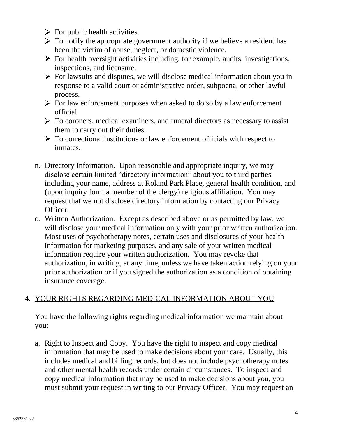- $\triangleright$  For public health activities.
- $\triangleright$  To notify the appropriate government authority if we believe a resident has been the victim of abuse, neglect, or domestic violence.
- $\triangleright$  For health oversight activities including, for example, audits, investigations, inspections, and licensure.
- $\triangleright$  For lawsuits and disputes, we will disclose medical information about you in response to a valid court or administrative order, subpoena, or other lawful process.
- $\triangleright$  For law enforcement purposes when asked to do so by a law enforcement official.
- $\triangleright$  To coroners, medical examiners, and funeral directors as necessary to assist them to carry out their duties.
- $\triangleright$  To correctional institutions or law enforcement officials with respect to inmates.
- n. Directory Information. Upon reasonable and appropriate inquiry, we may disclose certain limited "directory information" about you to third parties including your name, address at Roland Park Place, general health condition, and (upon inquiry form a member of the clergy) religious affiliation. You may request that we not disclose directory information by contacting our Privacy Officer.
- o. Written Authorization. Except as described above or as permitted by law, we will disclose your medical information only with your prior written authorization. Most uses of psychotherapy notes, certain uses and disclosures of your health information for marketing purposes, and any sale of your written medical information require your written authorization. You may revoke that authorization, in writing, at any time, unless we have taken action relying on your prior authorization or if you signed the authorization as a condition of obtaining insurance coverage.

# 4. YOUR RIGHTS REGARDING MEDICAL INFORMATION ABOUT YOU

You have the following rights regarding medical information we maintain about you:

a. Right to Inspect and Copy. You have the right to inspect and copy medical information that may be used to make decisions about your care. Usually, this includes medical and billing records, but does not include psychotherapy notes and other mental health records under certain circumstances. To inspect and copy medical information that may be used to make decisions about you, you must submit your request in writing to our Privacy Officer. You may request an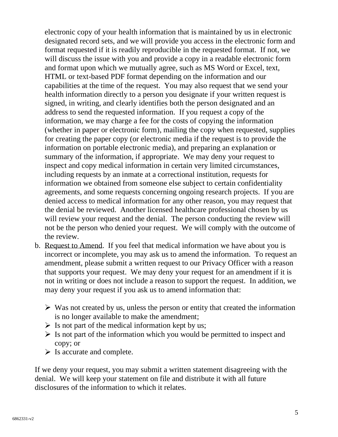electronic copy of your health information that is maintained by us in electronic designated record sets, and we will provide you access in the electronic form and format requested if it is readily reproducible in the requested format. If not, we will discuss the issue with you and provide a copy in a readable electronic form and format upon which we mutually agree, such as MS Word or Excel, text, HTML or text-based PDF format depending on the information and our capabilities at the time of the request. You may also request that we send your health information directly to a person you designate if your written request is signed, in writing, and clearly identifies both the person designated and an address to send the requested information. If you request a copy of the information, we may charge a fee for the costs of copying the information (whether in paper or electronic form), mailing the copy when requested, supplies for creating the paper copy (or electronic media if the request is to provide the information on portable electronic media), and preparing an explanation or summary of the information, if appropriate. We may deny your request to inspect and copy medical information in certain very limited circumstances, including requests by an inmate at a correctional institution, requests for information we obtained from someone else subject to certain confidentiality agreements, and some requests concerning ongoing research projects. If you are denied access to medical information for any other reason, you may request that the denial be reviewed. Another licensed healthcare professional chosen by us will review your request and the denial. The person conducting the review will not be the person who denied your request. We will comply with the outcome of the review.

- b. Request to Amend. If you feel that medical information we have about you is incorrect or incomplete, you may ask us to amend the information. To request an amendment, please submit a written request to our Privacy Officer with a reason that supports your request. We may deny your request for an amendment if it is not in writing or does not include a reason to support the request. In addition, we may deny your request if you ask us to amend information that:
	- $\triangleright$  Was not created by us, unless the person or entity that created the information is no longer available to make the amendment;
	- $\triangleright$  Is not part of the medical information kept by us;
	- $\triangleright$  Is not part of the information which you would be permitted to inspect and copy; or
	- $\triangleright$  Is accurate and complete.

If we deny your request, you may submit a written statement disagreeing with the denial. We will keep your statement on file and distribute it with all future disclosures of the information to which it relates.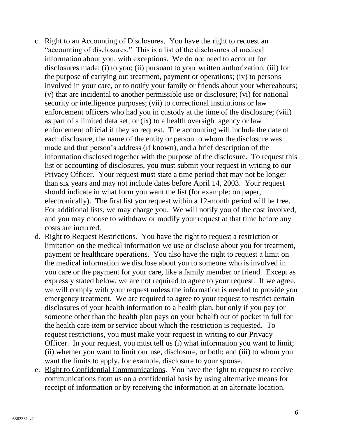- c. Right to an Accounting of Disclosures. You have the right to request an "accounting of disclosures." This is a list of the disclosures of medical information about you, with exceptions. We do not need to account for disclosures made: (i) to you; (ii) pursuant to your written authorization; (iii) for the purpose of carrying out treatment, payment or operations; (iv) to persons involved in your care, or to notify your family or friends about your whereabouts; (v) that are incidental to another permissible use or disclosure; (vi) for national security or intelligence purposes; (vii) to correctional institutions or law enforcement officers who had you in custody at the time of the disclosure; (viii) as part of a limited data set; or (ix) to a health oversight agency or law enforcement official if they so request. The accounting will include the date of each disclosure, the name of the entity or person to whom the disclosure was made and that person's address (if known), and a brief description of the information disclosed together with the purpose of the disclosure. To request this list or accounting of disclosures, you must submit your request in writing to our Privacy Officer. Your request must state a time period that may not be longer than six years and may not include dates before April 14, 2003. Your request should indicate in what form you want the list (for example: on paper, electronically). The first list you request within a 12-month period will be free. For additional lists, we may charge you. We will notify you of the cost involved, and you may choose to withdraw or modify your request at that time before any costs are incurred.
- d. Right to Request Restrictions. You have the right to request a restriction or limitation on the medical information we use or disclose about you for treatment, payment or healthcare operations. You also have the right to request a limit on the medical information we disclose about you to someone who is involved in you care or the payment for your care, like a family member or friend. Except as expressly stated below, we are not required to agree to your request. If we agree, we will comply with your request unless the information is needed to provide you emergency treatment. We are required to agree to your request to restrict certain disclosures of your health information to a health plan, but only if you pay (or someone other than the health plan pays on your behalf) out of pocket in full for the health care item or service about which the restriction is requested. To request restrictions, you must make your request in writing to our Privacy Officer. In your request, you must tell us (i) what information you want to limit; (ii) whether you want to limit our use, disclosure, or both; and (iii) to whom you want the limits to apply, for example, disclosure to your spouse.
- e. Right to Confidential Communications. You have the right to request to receive communications from us on a confidential basis by using alternative means for receipt of information or by receiving the information at an alternate location.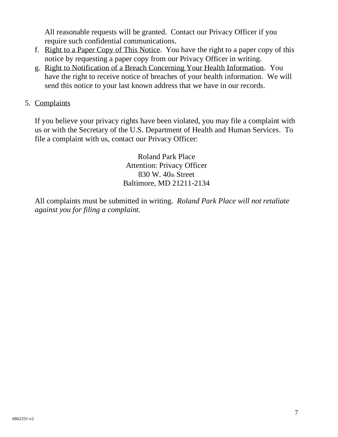All reasonable requests will be granted. Contact our Privacy Officer if you require such confidential communications.

- f. Right to a Paper Copy of This Notice. You have the right to a paper copy of this notice by requesting a paper copy from our Privacy Officer in writing.
- g. Right to Notification of a Breach Concerning Your Health Information. You have the right to receive notice of breaches of your health information. We will send this notice to your last known address that we have in our records.
- 5. Complaints

If you believe your privacy rights have been violated, you may file a complaint with us or with the Secretary of the U.S. Department of Health and Human Services. To file a complaint with us, contact our Privacy Officer:

> Roland Park Place Attention: Privacy Officer 830 W. 40th Street Baltimore, MD 21211-2134

All complaints must be submitted in writing. *Roland Park Place will not retaliate against you for filing a complaint.*